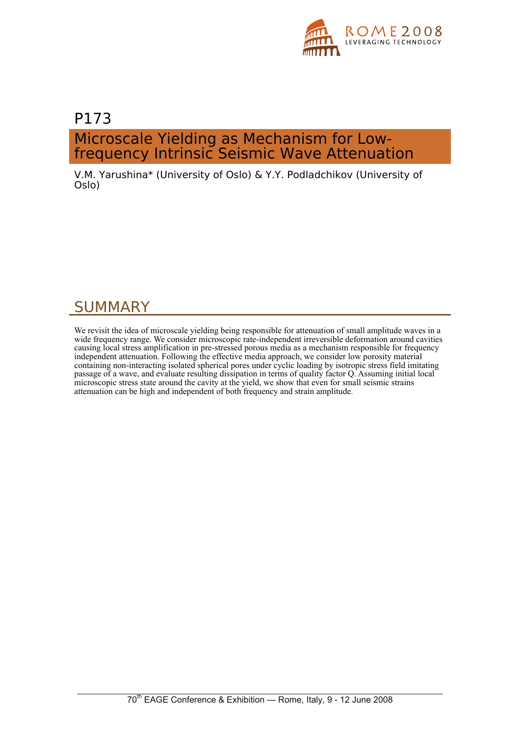

## P173 Microscale Yielding as Mechanism for Lowfrequency Intrinsic Seismic Wave Attenuation

V.M. Yarushina\* (University of Oslo) & Y.Y. Podladchikov (University of Oslo)

## SUMMARY

We revisit the idea of microscale yielding being responsible for attenuation of small amplitude waves in a wide frequency range. We consider microscopic rate-independent irreversible deformation around cavities causing local stress amplification in pre-stressed porous media as a mechanism responsible for frequency independent attenuation. Following the effective media approach, we consider low porosity material containing non-interacting isolated spherical pores under cyclic loading by isotropic stress field imitating passage of a wave, and evaluate resulting dissipation in terms of quality factor Q. Assuming initial local microscopic stress state around the cavity at the yield, we show that even for small seismic strains attenuation can be high and independent of both frequency and strain amplitude.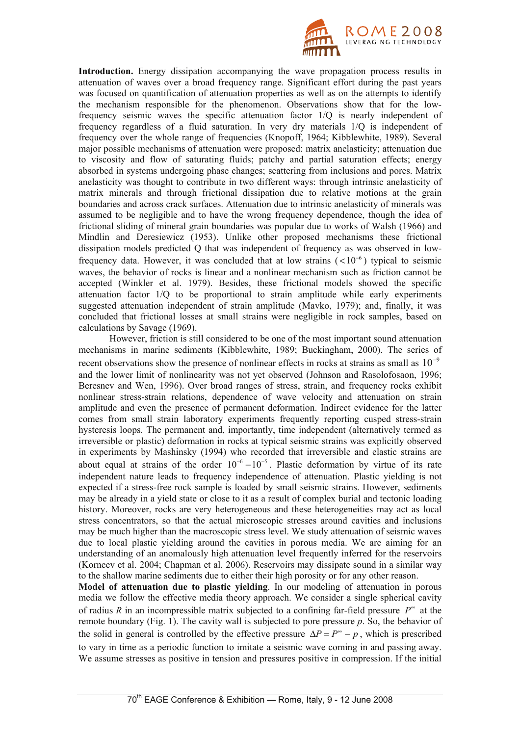

**Introduction.** Energy dissipation accompanying the wave propagation process results in attenuation of waves over a broad frequency range. Significant effort during the past years was focused on quantification of attenuation properties as well as on the attempts to identify the mechanism responsible for the phenomenon. Observations show that for the lowfrequency seismic waves the specific attenuation factor 1/Q is nearly independent of frequency regardless of a fluid saturation. In very dry materials 1/Q is independent of frequency over the whole range of frequencies (Knopoff, 1964; Kibblewhite, 1989). Several major possible mechanisms of attenuation were proposed: matrix anelasticity; attenuation due to viscosity and flow of saturating fluids; patchy and partial saturation effects; energy absorbed in systems undergoing phase changes; scattering from inclusions and pores. Matrix anelasticity was thought to contribute in two different ways: through intrinsic anelasticity of matrix minerals and through frictional dissipation due to relative motions at the grain boundaries and across crack surfaces. Attenuation due to intrinsic anelasticity of minerals was assumed to be negligible and to have the wrong frequency dependence, though the idea of frictional sliding of mineral grain boundaries was popular due to works of Walsh (1966) and Mindlin and Deresiewicz (1953). Unlike other proposed mechanisms these frictional dissipation models predicted Q that was independent of frequency as was observed in lowfrequency data. However, it was concluded that at low strains  $(< 10^{-6}$ ) typical to seismic waves, the behavior of rocks is linear and a nonlinear mechanism such as friction cannot be accepted (Winkler et al. 1979). Besides, these frictional models showed the specific attenuation factor 1/Q to be proportional to strain amplitude while early experiments suggested attenuation independent of strain amplitude (Mavko, 1979); and, finally, it was concluded that frictional losses at small strains were negligible in rock samples, based on calculations by Savage (1969).

However, friction is still considered to be one of the most important sound attenuation mechanisms in marine sediments (Kibblewhite, 1989; Buckingham, 2000). The series of recent observations show the presence of nonlinear effects in rocks at strains as small as  $10^{-9}$ and the lower limit of nonlinearity was not yet observed (Johnson and Rasolofosaon, 1996; Beresnev and Wen, 1996). Over broad ranges of stress, strain, and frequency rocks exhibit nonlinear stress-strain relations, dependence of wave velocity and attenuation on strain amplitude and even the presence of permanent deformation. Indirect evidence for the latter comes from small strain laboratory experiments frequently reporting cusped stress-strain hysteresis loops. The permanent and, importantly, time independent (alternatively termed as irreversible or plastic) deformation in rocks at typical seismic strains was explicitly observed in experiments by Mashinsky (1994) who recorded that irreversible and elastic strains are about equal at strains of the order  $10^{-6} - 10^{-5}$ . Plastic deformation by virtue of its rate independent nature leads to frequency independence of attenuation. Plastic yielding is not expected if a stress-free rock sample is loaded by small seismic strains. However, sediments may be already in a yield state or close to it as a result of complex burial and tectonic loading history. Moreover, rocks are very heterogeneous and these heterogeneities may act as local stress concentrators, so that the actual microscopic stresses around cavities and inclusions may be much higher than the macroscopic stress level. We study attenuation of seismic waves due to local plastic yielding around the cavities in porous media. We are aiming for an understanding of an anomalously high attenuation level frequently inferred for the reservoirs (Korneev et al. 2004; Chapman et al. 2006). Reservoirs may dissipate sound in a similar way to the shallow marine sediments due to either their high porosity or for any other reason.

**Model of attenuation due to plastic yielding**. In our modeling of attenuation in porous media we follow the effective media theory approach. We consider a single spherical cavity of radius *R* in an incompressible matrix subjected to a confining far-field pressure  $P^{\infty}$  at the remote boundary (Fig. 1). The cavity wall is subjected to pore pressure *p*. So, the behavior of the solid in general is controlled by the effective pressure  $\Delta P = P^{\circ} - p$ , which is prescribed to vary in time as a periodic function to imitate a seismic wave coming in and passing away. We assume stresses as positive in tension and pressures positive in compression. If the initial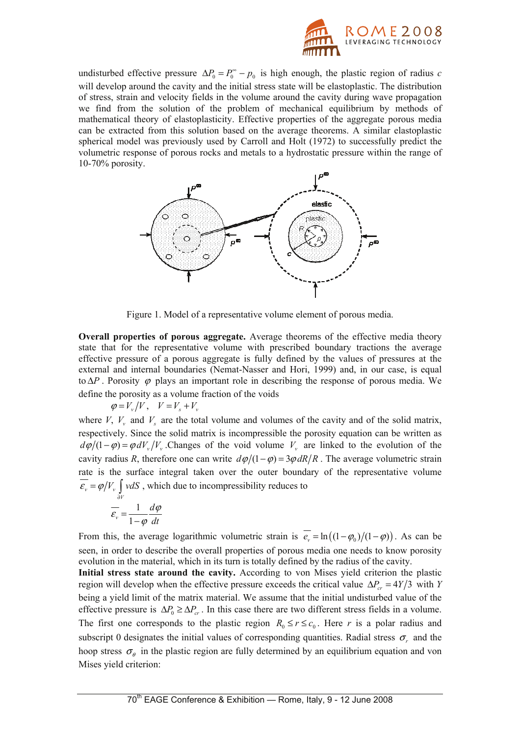

undisturbed effective pressure  $\Delta P_0 = P_0^{\infty} - p_0$  is high enough, the plastic region of radius *c* will develop around the cavity and the initial stress state will be elastoplastic. The distribution of stress, strain and velocity fields in the volume around the cavity during wave propagation we find from the solution of the problem of mechanical equilibrium by methods of mathematical theory of elastoplasticity. Effective properties of the aggregate porous media can be extracted from this solution based on the average theorems. A similar elastoplastic spherical model was previously used by Carroll and Holt (1972) to successfully predict the volumetric response of porous rocks and metals to a hydrostatic pressure within the range of 10-70% porosity.



Figure 1. Model of a representative volume element of porous media.

**Overall properties of porous aggregate.** Average theorems of the effective media theory state that for the representative volume with prescribed boundary tractions the average effective pressure of a porous aggregate is fully defined by the values of pressures at the external and internal boundaries (Nemat-Nasser and Hori, 1999) and, in our case, is equal to  $\Delta P$ . Porosity  $\varphi$  plays an important role in describing the response of porous media. We define the porosity as a volume fraction of the voids

 $\varphi = V_{\nu}/V$ ,  $V = V_{\rm s} + V_{\nu}$ 

where *V*,  $V_v$  and  $V_s$  are the total volume and volumes of the cavity and of the solid matrix, respectively. Since the solid matrix is incompressible the porosity equation can be written as  $d\varphi/(1 - \varphi) = \varphi dV_v/V_v$ . Changes of the void volume  $V_v$  are linked to the evolution of the cavity radius *R*, therefore one can write  $d\varphi/(1-\varphi) = 3\varphi dR/R$ . The average volumetric strain rate is the surface integral taken over the outer boundary of the representative volume  $\epsilon_v = \varphi/V_v \int v dS$ , which due to incompressibility reduces to

$$
\overline{\varepsilon_v} = \frac{1}{1 - \varphi} \frac{d\varphi}{dt}
$$

From this, the average logarithmic volumetric strain is  $\overline{e_v} = \ln((1 - \varphi_0)/(1 - \varphi))$ . As can be seen, in order to describe the overall properties of porous media one needs to know porosity evolution in the material, which in its turn is totally defined by the radius of the cavity.

**Initial stress state around the cavity.** According to von Mises yield criterion the plastic region will develop when the effective pressure exceeds the critical value  $\Delta P_{cr} = 4Y/3$  with *Y* being a yield limit of the matrix material. We assume that the initial undisturbed value of the effective pressure is  $\Delta P_0 \geq \Delta P_{cr}$ . In this case there are two different stress fields in a volume. The first one corresponds to the plastic region  $R_0 \le r \le c_0$ . Here *r* is a polar radius and subscript 0 designates the initial values of corresponding quantities. Radial stress  $\sigma_r$  and the hoop stress  $\sigma_{\theta}$  in the plastic region are fully determined by an equilibrium equation and von Mises yield criterion: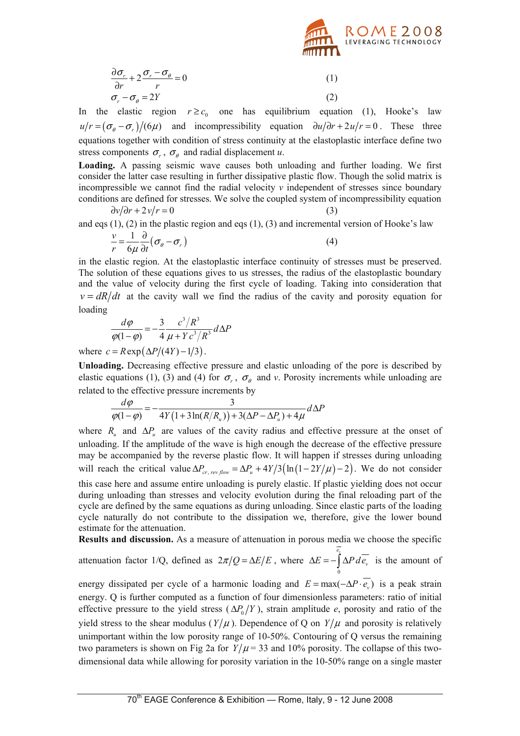

$$
\frac{\partial \sigma_r}{\partial r} + 2 \frac{\sigma_r - \sigma_\theta}{r} = 0 \tag{1}
$$
\n
$$
\sigma_r - \sigma_\theta = 2Y \tag{2}
$$

In the elastic region  $r \geq c_0$  one has equilibrium equation (1), Hooke's law  $u/r = (\sigma_{\theta} - \sigma_{r})/(6\mu)$  and incompressibility equation  $\partial u/\partial r + 2u/r = 0$ . These three equations together with condition of stress continuity at the elastoplastic interface define two stress components  $\sigma_r$ ,  $\sigma_\theta$  and radial displacement *u*.

**Loading.** A passing seismic wave causes both unloading and further loading. We first consider the latter case resulting in further dissipative plastic flow. Though the solid matrix is incompressible we cannot find the radial velocity  $\nu$  independent of stresses since boundary conditions are defined for stresses. We solve the coupled system of incompressibility equation

$$
\frac{\partial v}{\partial r} + 2v/r = 0 \tag{3}
$$

and eqs  $(1)$ ,  $(2)$  in the plastic region and eqs  $(1)$ ,  $(3)$  and incremental version of Hooke's law

$$
\frac{v}{r} = \frac{1}{6\mu} \frac{\partial}{\partial t} (\sigma_{\theta} - \sigma_{r})
$$
\n(4)

in the elastic region. At the elastoplastic interface continuity of stresses must be preserved. The solution of these equations gives to us stresses, the radius of the elastoplastic boundary and the value of velocity during the first cycle of loading. Taking into consideration that  $v = dR/dt$  at the cavity wall we find the radius of the cavity and porosity equation for loading

$$
\frac{d\varphi}{\varphi(1-\varphi)} = -\frac{3}{4} \frac{c^3/R^3}{\mu + Yc^3/R^3} d\Delta P
$$

where  $c = R \exp(\Delta P/(4Y) - 1/3)$ .

**Unloading.** Decreasing effective pressure and elastic unloading of the pore is described by elastic equations (1), (3) and (4) for  $\sigma_r$ ,  $\sigma_\theta$  and *v*. Porosity increments while unloading are related to the effective pressure increments by

$$
\frac{d\varphi}{\varphi(1-\varphi)} = -\frac{3}{4Y(1+3\ln(R/R_u)) + 3(\Delta P - \Delta P_u) + 4\mu}d\Delta P
$$

where  $R_u$  and  $\Delta P_u$  are values of the cavity radius and effective pressure at the onset of unloading. If the amplitude of the wave is high enough the decrease of the effective pressure may be accompanied by the reverse plastic flow. It will happen if stresses during unloading will reach the critical value  $\Delta P_{cr, revflow} = \Delta P_u + 4Y/3(\ln(1-2Y/\mu)-2)$ . We do not consider this case here and assume entire unloading is purely elastic. If plastic yielding does not occur during unloading than stresses and velocity evolution during the final reloading part of the cycle are defined by the same equations as during unloading. Since elastic parts of the loading cycle naturally do not contribute to the dissipation we, therefore, give the lower bound estimate for the attenuation.

**Results and discussion.** As a measure of attenuation in porous media we choose the specific

attenuation factor 1/Q, defined as  $2\pi/Q = \Delta E/E$ , where  $\boldsymbol{0}$ *v e*  $\Delta E = -\int \Delta P \, d\rho_v$  is the amount of

energy dissipated per cycle of a harmonic loading and  $E = max(-\Delta P \cdot \overline{e_v})$  is a peak strain energy. Q is further computed as a function of four dimensionless parameters: ratio of initial effective pressure to the yield stress  $(\Delta P_0/Y)$ , strain amplitude *e*, porosity and ratio of the yield stress to the shear modulus ( $Y/\mu$ ). Dependence of Q on  $Y/\mu$  and porosity is relatively unimportant within the low porosity range of 10-50%. Contouring of Q versus the remaining two parameters is shown on Fig 2a for  $Y/\mu = 33$  and 10% porosity. The collapse of this twodimensional data while allowing for porosity variation in the 10-50% range on a single master